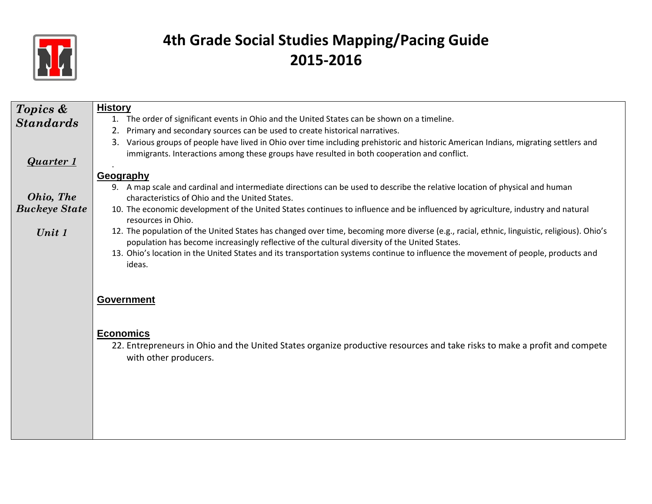

| Topics &             | <b>History</b>                                                                                                                                                                |
|----------------------|-------------------------------------------------------------------------------------------------------------------------------------------------------------------------------|
| <b>Standards</b>     | 1. The order of significant events in Ohio and the United States can be shown on a timeline.                                                                                  |
|                      | Primary and secondary sources can be used to create historical narratives.<br>2.                                                                                              |
|                      | 3. Various groups of people have lived in Ohio over time including prehistoric and historic American Indians, migrating settlers and                                          |
| <b>Quarter 1</b>     | immigrants. Interactions among these groups have resulted in both cooperation and conflict.                                                                                   |
|                      |                                                                                                                                                                               |
|                      | Geography                                                                                                                                                                     |
| Ohio, The            | 9. A map scale and cardinal and intermediate directions can be used to describe the relative location of physical and human<br>characteristics of Ohio and the United States. |
| <b>Buckeye State</b> | 10. The economic development of the United States continues to influence and be influenced by agriculture, industry and natural                                               |
|                      | resources in Ohio.                                                                                                                                                            |
| Unit 1               | 12. The population of the United States has changed over time, becoming more diverse (e.g., racial, ethnic, linguistic, religious). Ohio's                                    |
|                      | population has become increasingly reflective of the cultural diversity of the United States.                                                                                 |
|                      | 13. Ohio's location in the United States and its transportation systems continue to influence the movement of people, products and                                            |
|                      | ideas.                                                                                                                                                                        |
|                      |                                                                                                                                                                               |
|                      |                                                                                                                                                                               |
|                      | <b>Government</b>                                                                                                                                                             |
|                      |                                                                                                                                                                               |
|                      |                                                                                                                                                                               |
|                      | <b>Economics</b>                                                                                                                                                              |
|                      | 22. Entrepreneurs in Ohio and the United States organize productive resources and take risks to make a profit and compete                                                     |
|                      | with other producers.                                                                                                                                                         |
|                      |                                                                                                                                                                               |
|                      |                                                                                                                                                                               |
|                      |                                                                                                                                                                               |
|                      |                                                                                                                                                                               |
|                      |                                                                                                                                                                               |
|                      |                                                                                                                                                                               |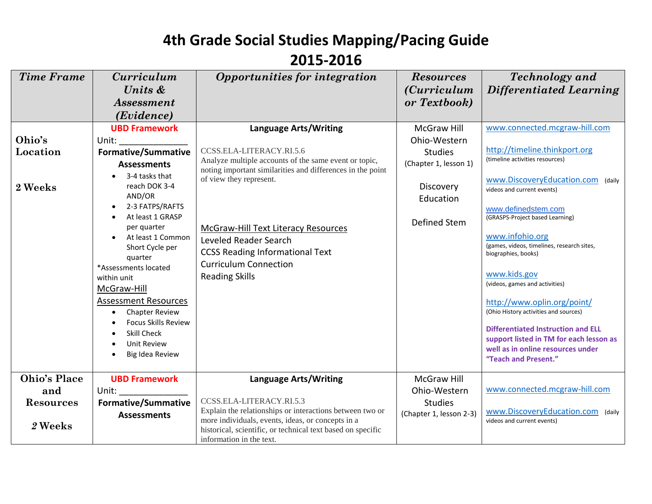#### **2015-2016**

| <b>Time Frame</b>   | <i>Curriculum</i>                         | Opportunities for integration                                                                                       | <b>Resources</b>        | <b>Technology</b> and                                           |
|---------------------|-------------------------------------------|---------------------------------------------------------------------------------------------------------------------|-------------------------|-----------------------------------------------------------------|
|                     | Units &                                   |                                                                                                                     | <i>(Curriculum</i>      | <b>Differentiated Learning</b>                                  |
|                     | <i><b>Assessment</b></i>                  |                                                                                                                     | or Textbook)            |                                                                 |
|                     | ( <i>Evidence</i> )                       |                                                                                                                     |                         |                                                                 |
|                     | <b>UBD Framework</b>                      | <b>Language Arts/Writing</b>                                                                                        | <b>McGraw Hill</b>      | www.connected.mcgraw-hill.com                                   |
| Ohio's              | Unit:                                     |                                                                                                                     | Ohio-Western            |                                                                 |
| Location            | <b>Formative/Summative</b>                | CCSS.ELA-LITERACY.RI.5.6                                                                                            | <b>Studies</b>          | http://timeline.thinkport.org                                   |
|                     | <b>Assessments</b>                        | Analyze multiple accounts of the same event or topic,<br>noting important similarities and differences in the point | (Chapter 1, lesson 1)   | (timeline activities resources)                                 |
| 2 Weeks             | 3-4 tasks that<br>reach DOK 3-4           | of view they represent.                                                                                             | Discovery               | www.DiscoveryEducation.com (daily<br>videos and current events) |
|                     | AND/OR                                    |                                                                                                                     | Education               |                                                                 |
|                     | 2-3 FATPS/RAFTS<br>At least 1 GRASP       |                                                                                                                     |                         | www.definedstem.com<br>(GRASPS-Project based Learning)          |
|                     | per quarter                               | <b>McGraw-Hill Text Literacy Resources</b>                                                                          | Defined Stem            |                                                                 |
|                     | At least 1 Common                         | Leveled Reader Search                                                                                               |                         | www.infohio.org<br>(games, videos, timelines, research sites,   |
|                     | Short Cycle per<br>quarter                | <b>CCSS Reading Informational Text</b>                                                                              |                         | biographies, books)                                             |
|                     | *Assessments located                      | <b>Curriculum Connection</b>                                                                                        |                         |                                                                 |
|                     | within unit                               | <b>Reading Skills</b>                                                                                               |                         | www.kids.gov                                                    |
|                     | McGraw-Hill                               |                                                                                                                     |                         | (videos, games and activities)                                  |
|                     | <b>Assessment Resources</b>               |                                                                                                                     |                         | http://www.oplin.org/point/                                     |
|                     | <b>Chapter Review</b><br>$\bullet$        |                                                                                                                     |                         | (Ohio History activities and sources)                           |
|                     | <b>Focus Skills Review</b><br>Skill Check |                                                                                                                     |                         | <b>Differentiated Instruction and ELL</b>                       |
|                     | <b>Unit Review</b>                        |                                                                                                                     |                         | support listed in TM for each lesson as                         |
|                     | Big Idea Review                           |                                                                                                                     |                         | well as in online resources under<br>"Teach and Present."       |
|                     |                                           |                                                                                                                     |                         |                                                                 |
| <b>Ohio's Place</b> | <b>UBD Framework</b>                      | <b>Language Arts/Writing</b>                                                                                        | <b>McGraw Hill</b>      |                                                                 |
| and                 | Unit:                                     |                                                                                                                     | Ohio-Western            | www.connected.mcgraw-hill.com                                   |
| <b>Resources</b>    | <b>Formative/Summative</b>                | CCSS.ELA-LITERACY.RI.5.3                                                                                            | <b>Studies</b>          |                                                                 |
|                     | <b>Assessments</b>                        | Explain the relationships or interactions between two or<br>more individuals, events, ideas, or concepts in a       | (Chapter 1, lesson 2-3) | www.DiscoveryEducation.com (daily<br>videos and current events) |
| 2 Weeks             |                                           | historical, scientific, or technical text based on specific<br>information in the text.                             |                         |                                                                 |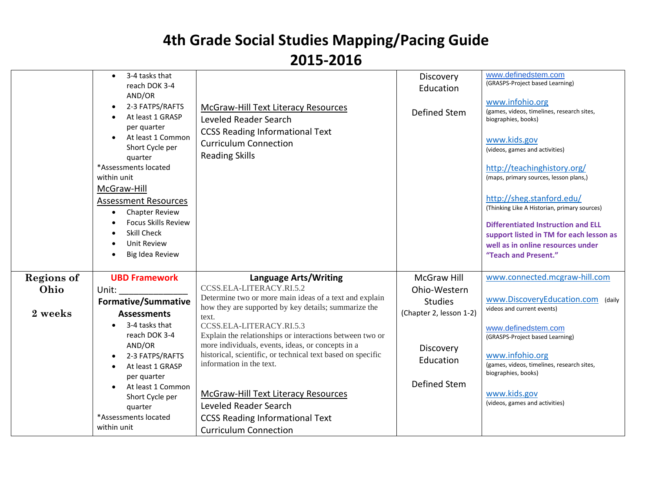|                                      | 3-4 tasks that<br>reach DOK 3-4<br>AND/OR<br>2-3 FATPS/RAFTS<br>At least 1 GRASP<br>per quarter<br>At least 1 Common<br>Short Cycle per<br>quarter<br>*Assessments located<br>within unit<br>McGraw-Hill<br><b>Assessment Resources</b><br><b>Chapter Review</b><br>$\bullet$<br><b>Focus Skills Review</b><br><b>Skill Check</b><br><b>Unit Review</b><br>Big Idea Review | McGraw-Hill Text Literacy Resources<br>Leveled Reader Search<br><b>CCSS Reading Informational Text</b><br><b>Curriculum Connection</b><br><b>Reading Skills</b>                                                                                                                                                                                                                                                                                                                                                                                                       | Discovery<br>Education<br>Defined Stem                                                                                    | www.definedstem.com<br>(GRASPS-Project based Learning)<br>www.infohio.org<br>(games, videos, timelines, research sites,<br>biographies, books)<br>www.kids.gov<br>(videos, games and activities)<br>http://teachinghistory.org/<br>(maps, primary sources, lesson plans,)<br>http://sheg.stanford.edu/<br>(Thinking Like A Historian, primary sources)<br><b>Differentiated Instruction and ELL</b><br>support listed in TM for each lesson as<br>well as in online resources under<br>"Teach and Present." |
|--------------------------------------|----------------------------------------------------------------------------------------------------------------------------------------------------------------------------------------------------------------------------------------------------------------------------------------------------------------------------------------------------------------------------|-----------------------------------------------------------------------------------------------------------------------------------------------------------------------------------------------------------------------------------------------------------------------------------------------------------------------------------------------------------------------------------------------------------------------------------------------------------------------------------------------------------------------------------------------------------------------|---------------------------------------------------------------------------------------------------------------------------|-------------------------------------------------------------------------------------------------------------------------------------------------------------------------------------------------------------------------------------------------------------------------------------------------------------------------------------------------------------------------------------------------------------------------------------------------------------------------------------------------------------|
| <b>Regions of</b><br>Ohio<br>2 weeks | <b>UBD Framework</b><br>Unit:<br><b>Formative/Summative</b><br><b>Assessments</b><br>3-4 tasks that<br>reach DOK 3-4<br>AND/OR<br>2-3 FATPS/RAFTS<br>At least 1 GRASP<br>$\bullet$<br>per quarter<br>At least 1 Common<br>Short Cycle per<br>quarter<br>*Assessments located<br>within unit                                                                                | <b>Language Arts/Writing</b><br>CCSS.ELA-LITERACY.RI.5.2<br>Determine two or more main ideas of a text and explain<br>how they are supported by key details; summarize the<br>text.<br>CCSS.ELA-LITERACY.RI.5.3<br>Explain the relationships or interactions between two or<br>more individuals, events, ideas, or concepts in a<br>historical, scientific, or technical text based on specific<br>information in the text.<br>McGraw-Hill Text Literacy Resources<br>Leveled Reader Search<br><b>CCSS Reading Informational Text</b><br><b>Curriculum Connection</b> | <b>McGraw Hill</b><br>Ohio-Western<br><b>Studies</b><br>(Chapter 2, lesson 1-2)<br>Discovery<br>Education<br>Defined Stem | www.connected.mcgraw-hill.com<br>www.DiscoveryEducation.com (daily<br>videos and current events)<br>www.definedstem.com<br>(GRASPS-Project based Learning)<br>www.infohio.org<br>(games, videos, timelines, research sites,<br>biographies, books)<br>www.kids.gov<br>(videos, games and activities)                                                                                                                                                                                                        |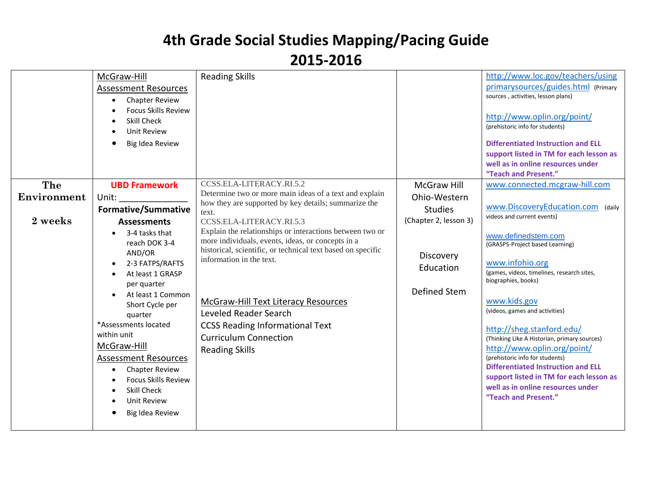|             | McGraw-Hill<br><b>Assessment Resources</b><br><b>Chapter Review</b><br>$\bullet$<br><b>Focus Skills Review</b><br>Skill Check<br><b>Unit Review</b><br>Big Idea Review                                                                                                                                                                                              | <b>Reading Skills</b>                                                                                                                                                                                                                                                                                                                                                       |                                        | http://www.loc.gov/teachers/using<br>primarysources/guides.html (Primary<br>sources, activities, lesson plans)<br>http://www.oplin.org/point/<br>(prehistoric info for students)<br><b>Differentiated Instruction and ELL</b><br>support listed in TM for each lesson as<br>well as in online resources under<br>"Teach and Present."                                                                                                                                                                |
|-------------|---------------------------------------------------------------------------------------------------------------------------------------------------------------------------------------------------------------------------------------------------------------------------------------------------------------------------------------------------------------------|-----------------------------------------------------------------------------------------------------------------------------------------------------------------------------------------------------------------------------------------------------------------------------------------------------------------------------------------------------------------------------|----------------------------------------|------------------------------------------------------------------------------------------------------------------------------------------------------------------------------------------------------------------------------------------------------------------------------------------------------------------------------------------------------------------------------------------------------------------------------------------------------------------------------------------------------|
| The         | <b>UBD Framework</b>                                                                                                                                                                                                                                                                                                                                                | CCSS.ELA-LITERACY.RI.5.2                                                                                                                                                                                                                                                                                                                                                    | <b>McGraw Hill</b>                     | www.connected.mcgraw-hill.com                                                                                                                                                                                                                                                                                                                                                                                                                                                                        |
| Environment | Unit:                                                                                                                                                                                                                                                                                                                                                               | Determine two or more main ideas of a text and explain<br>how they are supported by key details; summarize the                                                                                                                                                                                                                                                              | Ohio-Western                           |                                                                                                                                                                                                                                                                                                                                                                                                                                                                                                      |
|             | <b>Formative/Summative</b>                                                                                                                                                                                                                                                                                                                                          | text.                                                                                                                                                                                                                                                                                                                                                                       | <b>Studies</b>                         | www.DiscoveryEducation.com (daily<br>videos and current events)                                                                                                                                                                                                                                                                                                                                                                                                                                      |
| 2 weeks     | <b>Assessments</b>                                                                                                                                                                                                                                                                                                                                                  | CCSS.ELA-LITERACY.RI.5.3                                                                                                                                                                                                                                                                                                                                                    | (Chapter 2, lesson 3)                  |                                                                                                                                                                                                                                                                                                                                                                                                                                                                                                      |
|             | 3-4 tasks that<br>reach DOK 3-4<br>AND/OR<br>2-3 FATPS/RAFTS<br>At least 1 GRASP<br>per quarter<br>At least 1 Common<br>Short Cycle per<br>quarter<br>*Assessments located<br>within unit<br>McGraw-Hill<br><b>Assessment Resources</b><br><b>Chapter Review</b><br>$\bullet$<br><b>Focus Skills Review</b><br><b>Skill Check</b><br>Unit Review<br>Big Idea Review | Explain the relationships or interactions between two or<br>more individuals, events, ideas, or concepts in a<br>historical, scientific, or technical text based on specific<br>information in the text.<br>McGraw-Hill Text Literacy Resources<br>Leveled Reader Search<br><b>CCSS Reading Informational Text</b><br><b>Curriculum Connection</b><br><b>Reading Skills</b> | Discovery<br>Education<br>Defined Stem | www.definedstem.com<br>(GRASPS-Project based Learning)<br>www.infohio.org<br>(games, videos, timelines, research sites,<br>biographies, books)<br>www.kids.gov<br>(videos, games and activities)<br>http://sheg.stanford.edu/<br>(Thinking Like A Historian, primary sources)<br>http://www.oplin.org/point/<br>(prehistoric info for students)<br><b>Differentiated Instruction and ELL</b><br>support listed in TM for each lesson as<br>well as in online resources under<br>"Teach and Present." |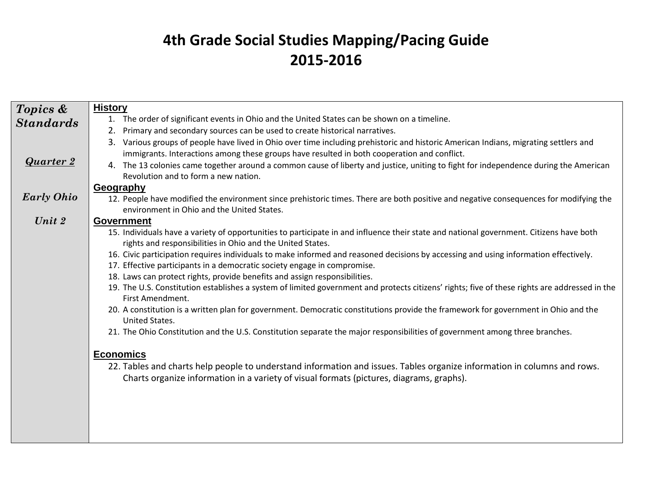| Topics &          | <b>History</b>                                                                                                                                                                                                              |
|-------------------|-----------------------------------------------------------------------------------------------------------------------------------------------------------------------------------------------------------------------------|
| <b>Standards</b>  | 1. The order of significant events in Ohio and the United States can be shown on a timeline.                                                                                                                                |
|                   | Primary and secondary sources can be used to create historical narratives.<br>2.                                                                                                                                            |
|                   | Various groups of people have lived in Ohio over time including prehistoric and historic American Indians, migrating settlers and                                                                                           |
|                   | immigrants. Interactions among these groups have resulted in both cooperation and conflict.                                                                                                                                 |
| <b>Quarter 2</b>  | 4. The 13 colonies came together around a common cause of liberty and justice, uniting to fight for independence during the American                                                                                        |
|                   | Revolution and to form a new nation.                                                                                                                                                                                        |
|                   | Geography                                                                                                                                                                                                                   |
| <b>Early Ohio</b> | 12. People have modified the environment since prehistoric times. There are both positive and negative consequences for modifying the                                                                                       |
|                   | environment in Ohio and the United States.                                                                                                                                                                                  |
| Unit $2$          | <b>Government</b>                                                                                                                                                                                                           |
|                   | 15. Individuals have a variety of opportunities to participate in and influence their state and national government. Citizens have both                                                                                     |
|                   | rights and responsibilities in Ohio and the United States.                                                                                                                                                                  |
|                   | 16. Civic participation requires individuals to make informed and reasoned decisions by accessing and using information effectively.                                                                                        |
|                   | 17. Effective participants in a democratic society engage in compromise.                                                                                                                                                    |
|                   | 18. Laws can protect rights, provide benefits and assign responsibilities.<br>19. The U.S. Constitution establishes a system of limited government and protects citizens' rights; five of these rights are addressed in the |
|                   | First Amendment.                                                                                                                                                                                                            |
|                   | 20. A constitution is a written plan for government. Democratic constitutions provide the framework for government in Ohio and the                                                                                          |
|                   | United States.                                                                                                                                                                                                              |
|                   | 21. The Ohio Constitution and the U.S. Constitution separate the major responsibilities of government among three branches.                                                                                                 |
|                   |                                                                                                                                                                                                                             |
|                   | <b>Economics</b>                                                                                                                                                                                                            |
|                   | 22. Tables and charts help people to understand information and issues. Tables organize information in columns and rows.                                                                                                    |
|                   | Charts organize information in a variety of visual formats (pictures, diagrams, graphs).                                                                                                                                    |
|                   |                                                                                                                                                                                                                             |
|                   |                                                                                                                                                                                                                             |
|                   |                                                                                                                                                                                                                             |
|                   |                                                                                                                                                                                                                             |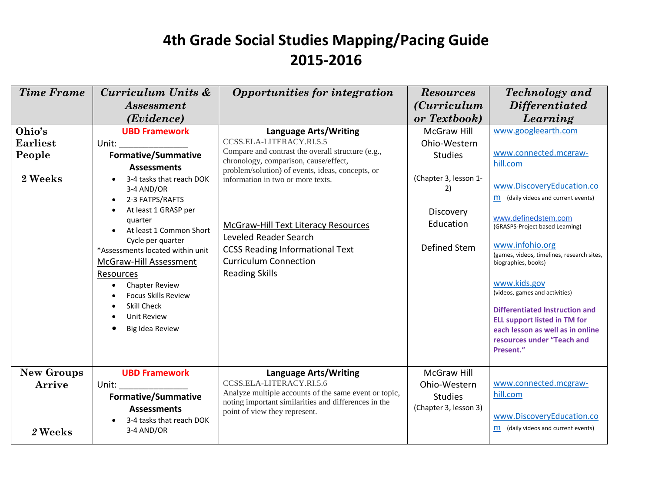| <b>Time Frame</b> | Curriculum Units &               | Opportunities for integration                                                              | <b>Resources</b>      | <b>Technology</b> and                                         |
|-------------------|----------------------------------|--------------------------------------------------------------------------------------------|-----------------------|---------------------------------------------------------------|
|                   | <b>Assessment</b>                |                                                                                            | <i>(Curriculum</i> )  | <b>Differentiated</b>                                         |
|                   | (Evidence)                       |                                                                                            | or Textbook)          | Learning                                                      |
| Ohio's            | <b>UBD Framework</b>             | <b>Language Arts/Writing</b>                                                               | <b>McGraw Hill</b>    | www.googleearth.com                                           |
| <b>Earliest</b>   | Unit:                            | CCSS.ELA-LITERACY.RI.5.5                                                                   | Ohio-Western          |                                                               |
| People            | <b>Formative/Summative</b>       | Compare and contrast the overall structure (e.g.,<br>chronology, comparison, cause/effect, | <b>Studies</b>        | www.connected.mcgraw-                                         |
|                   | <b>Assessments</b>               | problem/solution) of events, ideas, concepts, or                                           |                       | hill.com                                                      |
| 2 Weeks           | 3-4 tasks that reach DOK         | information in two or more texts.                                                          | (Chapter 3, lesson 1- |                                                               |
|                   | 3-4 AND/OR                       |                                                                                            | 2)                    | www.DiscoveryEducation.co                                     |
|                   | 2-3 FATPS/RAFTS<br>$\bullet$     |                                                                                            |                       | m (daily videos and current events)                           |
|                   | At least 1 GRASP per<br>quarter  |                                                                                            | Discovery             | www.definedstem.com                                           |
|                   | At least 1 Common Short          | <b>McGraw-Hill Text Literacy Resources</b>                                                 | Education             | (GRASPS-Project based Learning)                               |
|                   | Cycle per quarter                | Leveled Reader Search                                                                      |                       |                                                               |
|                   | *Assessments located within unit | <b>CCSS Reading Informational Text</b>                                                     | Defined Stem          | www.infohio.org<br>(games, videos, timelines, research sites, |
|                   | McGraw-Hill Assessment           | <b>Curriculum Connection</b>                                                               |                       | biographies, books)                                           |
|                   | Resources                        | <b>Reading Skills</b>                                                                      |                       |                                                               |
|                   | <b>Chapter Review</b>            |                                                                                            |                       | www.kids.gov                                                  |
|                   | <b>Focus Skills Review</b>       |                                                                                            |                       | (videos, games and activities)                                |
|                   | Skill Check                      |                                                                                            |                       | Differentiated Instruction and                                |
|                   | Unit Review                      |                                                                                            |                       | <b>ELL support listed in TM for</b>                           |
|                   | Big Idea Review                  |                                                                                            |                       | each lesson as well as in online                              |
|                   |                                  |                                                                                            |                       | resources under "Teach and<br>Present."                       |
|                   |                                  |                                                                                            |                       |                                                               |
| <b>New Groups</b> | <b>UBD Framework</b>             | <b>Language Arts/Writing</b>                                                               | <b>McGraw Hill</b>    |                                                               |
| Arrive            | Unit:                            | CCSS.ELA-LITERACY.RI.5.6                                                                   | Ohio-Western          | www.connected.mcgraw-                                         |
|                   | <b>Formative/Summative</b>       | Analyze multiple accounts of the same event or topic,                                      | <b>Studies</b>        | hill.com                                                      |
|                   | <b>Assessments</b>               | noting important similarities and differences in the<br>point of view they represent.      | (Chapter 3, lesson 3) |                                                               |
|                   | 3-4 tasks that reach DOK         |                                                                                            |                       | www.DiscoveryEducation.co                                     |
| 2 Weeks           | 3-4 AND/OR                       |                                                                                            |                       | m (daily videos and current events)                           |
|                   |                                  |                                                                                            |                       |                                                               |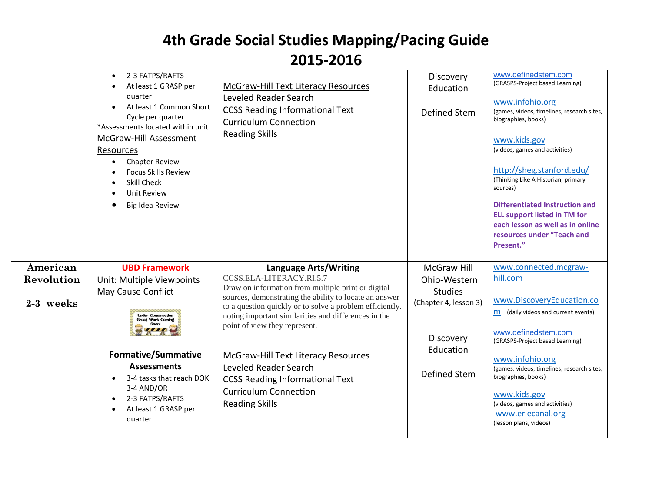|                                     | 2-3 FATPS/RAFTS<br>$\bullet$<br>At least 1 GRASP per<br>quarter<br>At least 1 Common Short<br>Cycle per quarter<br>*Assessments located within unit<br><b>McGraw-Hill Assessment</b><br>Resources<br><b>Chapter Review</b><br><b>Focus Skills Review</b><br>Skill Check<br><b>Unit Review</b><br>Big Idea Review | <b>McGraw-Hill Text Literacy Resources</b><br>Leveled Reader Search<br><b>CCSS Reading Informational Text</b><br><b>Curriculum Connection</b><br><b>Reading Skills</b>                                                                                                                                                                                                                                                                                                                    | Discovery<br>Education<br>Defined Stem                                                                                         | www.definedstem.com<br>(GRASPS-Project based Learning)<br>www.infohio.org<br>(games, videos, timelines, research sites,<br>biographies, books)<br>www.kids.gov<br>(videos, games and activities)<br>http://sheg.stanford.edu/<br>(Thinking Like A Historian, primary<br>sources)<br><b>Differentiated Instruction and</b><br><b>ELL support listed in TM for</b><br>each lesson as well as in online<br>resources under "Teach and<br>Present." |
|-------------------------------------|------------------------------------------------------------------------------------------------------------------------------------------------------------------------------------------------------------------------------------------------------------------------------------------------------------------|-------------------------------------------------------------------------------------------------------------------------------------------------------------------------------------------------------------------------------------------------------------------------------------------------------------------------------------------------------------------------------------------------------------------------------------------------------------------------------------------|--------------------------------------------------------------------------------------------------------------------------------|-------------------------------------------------------------------------------------------------------------------------------------------------------------------------------------------------------------------------------------------------------------------------------------------------------------------------------------------------------------------------------------------------------------------------------------------------|
| American<br>Revolution<br>2-3 weeks | <b>UBD Framework</b><br>Unit: Multiple Viewpoints<br>May Cause Conflict<br><b>Under Construction</b><br><b>Great Work Coming</b><br><b>Formative/Summative</b><br><b>Assessments</b><br>3-4 tasks that reach DOK<br>3-4 AND/OR<br>2-3 FATPS/RAFTS<br>At least 1 GRASP per<br>quarter                             | Language Arts/Writing<br>CCSS.ELA-LITERACY.RI.5.7<br>Draw on information from multiple print or digital<br>sources, demonstrating the ability to locate an answer<br>to a question quickly or to solve a problem efficiently.<br>noting important similarities and differences in the<br>point of view they represent.<br>McGraw-Hill Text Literacy Resources<br>Leveled Reader Search<br><b>CCSS Reading Informational Text</b><br><b>Curriculum Connection</b><br><b>Reading Skills</b> | <b>McGraw Hill</b><br>Ohio-Western<br><b>Studies</b><br>(Chapter 4, lesson 3)<br>Discovery<br>Education<br><b>Defined Stem</b> | www.connected.mcgraw-<br>hill.com<br>www.DiscoveryEducation.co<br>m (daily videos and current events)<br>www.definedstem.com<br>(GRASPS-Project based Learning)<br>www.infohio.org<br>(games, videos, timelines, research sites,<br>biographies, books)<br>www.kids.gov<br>(videos, games and activities)<br>www.eriecanal.org<br>(lesson plans, videos)                                                                                        |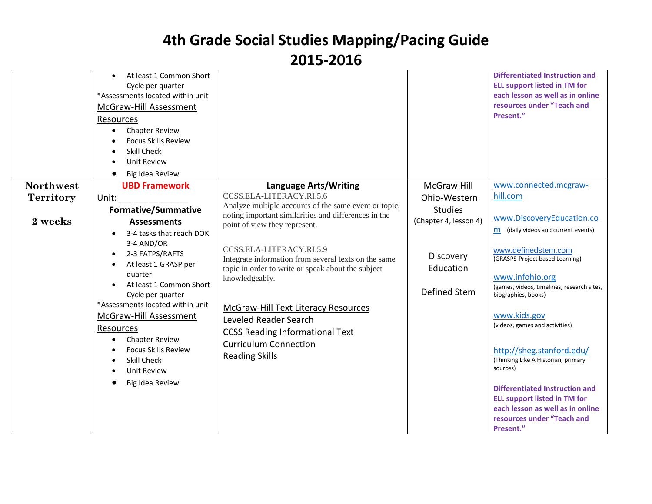|                  | At least 1 Common Short<br>$\bullet$<br>Cycle per quarter<br>*Assessments located within unit<br><b>McGraw-Hill Assessment</b><br>Resources<br><b>Chapter Review</b><br>$\bullet$<br><b>Focus Skills Review</b><br>Skill Check<br><b>Unit Review</b><br>Big Idea Review |                                                                                  |                       | <b>Differentiated Instruction and</b><br><b>ELL support listed in TM for</b><br>each lesson as well as in online<br>resources under "Teach and<br>Present." |
|------------------|-------------------------------------------------------------------------------------------------------------------------------------------------------------------------------------------------------------------------------------------------------------------------|----------------------------------------------------------------------------------|-----------------------|-------------------------------------------------------------------------------------------------------------------------------------------------------------|
| <b>Northwest</b> | <b>UBD Framework</b>                                                                                                                                                                                                                                                    | <b>Language Arts/Writing</b>                                                     | <b>McGraw Hill</b>    | www.connected.mcgraw-                                                                                                                                       |
| <b>Territory</b> | Unit:                                                                                                                                                                                                                                                                   | CCSS.ELA-LITERACY.RI.5.6                                                         | Ohio-Western          | hill.com                                                                                                                                                    |
|                  | <b>Formative/Summative</b>                                                                                                                                                                                                                                              | Analyze multiple accounts of the same event or topic,                            | <b>Studies</b>        |                                                                                                                                                             |
| 2 weeks          | <b>Assessments</b>                                                                                                                                                                                                                                                      | noting important similarities and differences in the                             | (Chapter 4, lesson 4) | www.DiscoveryEducation.co                                                                                                                                   |
|                  | 3-4 tasks that reach DOK                                                                                                                                                                                                                                                | point of view they represent.                                                    |                       | $m$ (daily videos and current events)                                                                                                                       |
|                  | 3-4 AND/OR                                                                                                                                                                                                                                                              |                                                                                  |                       |                                                                                                                                                             |
|                  | 2-3 FATPS/RAFTS<br>$\bullet$                                                                                                                                                                                                                                            | CCSS.ELA-LITERACY.RI.5.9<br>Integrate information from several texts on the same | Discovery             | www.definedstem.com<br>(GRASPS-Project based Learning)                                                                                                      |
|                  | At least 1 GRASP per<br>$\bullet$                                                                                                                                                                                                                                       | topic in order to write or speak about the subject                               | Education             |                                                                                                                                                             |
|                  | quarter                                                                                                                                                                                                                                                                 | knowledgeably.                                                                   |                       | www.infohio.org                                                                                                                                             |
|                  | At least 1 Common Short<br>$\bullet$<br>Cycle per quarter                                                                                                                                                                                                               |                                                                                  | Defined Stem          | (games, videos, timelines, research sites,<br>biographies, books)                                                                                           |
|                  | *Assessments located within unit                                                                                                                                                                                                                                        | McGraw-Hill Text Literacy Resources                                              |                       |                                                                                                                                                             |
|                  | McGraw-Hill Assessment                                                                                                                                                                                                                                                  | Leveled Reader Search                                                            |                       | www.kids.gov                                                                                                                                                |
|                  | Resources                                                                                                                                                                                                                                                               | <b>CCSS Reading Informational Text</b>                                           |                       | (videos, games and activities)                                                                                                                              |
|                  | <b>Chapter Review</b><br>$\bullet$                                                                                                                                                                                                                                      | <b>Curriculum Connection</b>                                                     |                       |                                                                                                                                                             |
|                  | <b>Focus Skills Review</b>                                                                                                                                                                                                                                              | <b>Reading Skills</b>                                                            |                       | http://sheg.stanford.edu/                                                                                                                                   |
|                  | Skill Check                                                                                                                                                                                                                                                             |                                                                                  |                       | (Thinking Like A Historian, primary<br>sources)                                                                                                             |
|                  | <b>Unit Review</b><br>$\bullet$                                                                                                                                                                                                                                         |                                                                                  |                       |                                                                                                                                                             |
|                  | Big Idea Review<br>о                                                                                                                                                                                                                                                    |                                                                                  |                       | Differentiated Instruction and                                                                                                                              |
|                  |                                                                                                                                                                                                                                                                         |                                                                                  |                       | <b>ELL support listed in TM for</b>                                                                                                                         |
|                  |                                                                                                                                                                                                                                                                         |                                                                                  |                       | each lesson as well as in online                                                                                                                            |
|                  |                                                                                                                                                                                                                                                                         |                                                                                  |                       | resources under "Teach and                                                                                                                                  |
|                  |                                                                                                                                                                                                                                                                         |                                                                                  |                       | Present."                                                                                                                                                   |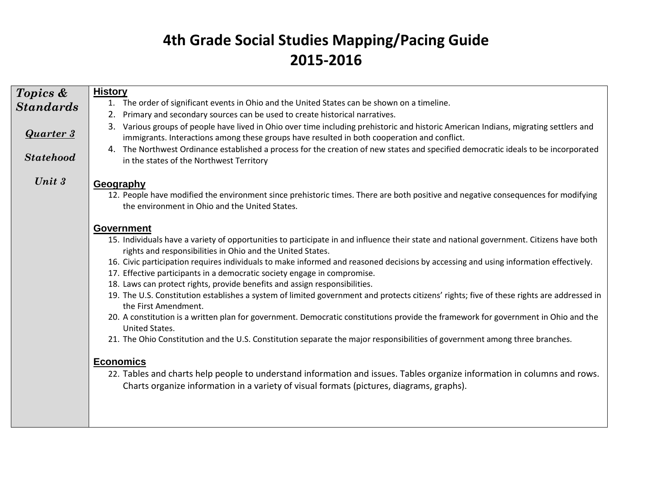| Topics &         | <b>History</b>                                                                                                                                                                                                                      |
|------------------|-------------------------------------------------------------------------------------------------------------------------------------------------------------------------------------------------------------------------------------|
| <b>Standards</b> | 1. The order of significant events in Ohio and the United States can be shown on a timeline.                                                                                                                                        |
|                  | Primary and secondary sources can be used to create historical narratives.<br>2.                                                                                                                                                    |
| <b>Quarter 3</b> | 3. Various groups of people have lived in Ohio over time including prehistoric and historic American Indians, migrating settlers and<br>immigrants. Interactions among these groups have resulted in both cooperation and conflict. |
| <b>Statehood</b> | 4. The Northwest Ordinance established a process for the creation of new states and specified democratic ideals to be incorporated<br>in the states of the Northwest Territory                                                      |
| Unit 3           | Geography                                                                                                                                                                                                                           |
|                  | 12. People have modified the environment since prehistoric times. There are both positive and negative consequences for modifying<br>the environment in Ohio and the United States.                                                 |
|                  | <b>Government</b>                                                                                                                                                                                                                   |
|                  | 15. Individuals have a variety of opportunities to participate in and influence their state and national government. Citizens have both<br>rights and responsibilities in Ohio and the United States.                               |
|                  | 16. Civic participation requires individuals to make informed and reasoned decisions by accessing and using information effectively.<br>17. Effective participants in a democratic society engage in compromise.                    |
|                  | 18. Laws can protect rights, provide benefits and assign responsibilities.                                                                                                                                                          |
|                  | 19. The U.S. Constitution establishes a system of limited government and protects citizens' rights; five of these rights are addressed in<br>the First Amendment.                                                                   |
|                  | 20. A constitution is a written plan for government. Democratic constitutions provide the framework for government in Ohio and the<br>United States.                                                                                |
|                  | 21. The Ohio Constitution and the U.S. Constitution separate the major responsibilities of government among three branches.                                                                                                         |
|                  | <b>Economics</b>                                                                                                                                                                                                                    |
|                  | 22. Tables and charts help people to understand information and issues. Tables organize information in columns and rows.<br>Charts organize information in a variety of visual formats (pictures, diagrams, graphs).                |
|                  |                                                                                                                                                                                                                                     |
|                  |                                                                                                                                                                                                                                     |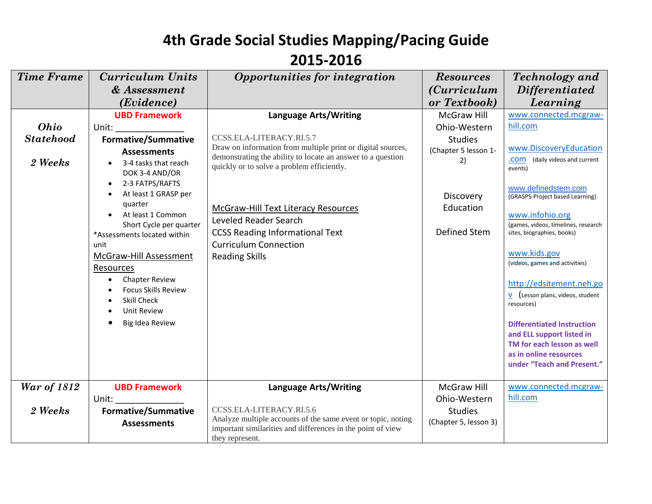| <b>Time Frame</b>  | <b>Curriculum Units</b>                                                                                                                                                                                                        | Opportunities for integration                                                                                               | <b>Resources</b>      | <b>Technology</b> and                                  |
|--------------------|--------------------------------------------------------------------------------------------------------------------------------------------------------------------------------------------------------------------------------|-----------------------------------------------------------------------------------------------------------------------------|-----------------------|--------------------------------------------------------|
|                    | & Assessment                                                                                                                                                                                                                   |                                                                                                                             | <i>(Curriculum</i> )  | <i>Differentiated</i>                                  |
|                    | ( <i>Evidence</i> )                                                                                                                                                                                                            |                                                                                                                             | or Textbook)          | Learning                                               |
|                    | <b>UBD Framework</b>                                                                                                                                                                                                           | <b>Language Arts/Writing</b>                                                                                                | <b>McGraw Hill</b>    | www.connected.mcgraw-                                  |
| Ohio               | Unit: and the state of the state of the state of the state of the state of the state of the state of the state                                                                                                                 |                                                                                                                             | Ohio-Western          | hill.com                                               |
| <b>Statehood</b>   | <b>Formative/Summative</b>                                                                                                                                                                                                     | CCSS.ELA-LITERACY.RI.5.7                                                                                                    | <b>Studies</b>        |                                                        |
|                    | <b>Assessments</b>                                                                                                                                                                                                             | Draw on information from multiple print or digital sources,<br>demonstrating the ability to locate an answer to a question  | (Chapter 5 lesson 1-  | www.DiscoveryEducation                                 |
| 2 Weeks            | 3-4 tasks that reach<br>DOK 3-4 AND/OR                                                                                                                                                                                         | quickly or to solve a problem efficiently.                                                                                  | 2)                    | (daily videos and current<br>.com<br>events)           |
|                    | 2-3 FATPS/RAFTS<br>$\bullet$                                                                                                                                                                                                   |                                                                                                                             |                       | www.definedstem.com                                    |
|                    | At least 1 GRASP per                                                                                                                                                                                                           |                                                                                                                             | Discovery             | (GRASPS-Project based Learning)                        |
|                    | quarter                                                                                                                                                                                                                        | <b>McGraw-Hill Text Literacy Resources</b>                                                                                  | Education             |                                                        |
|                    | At least 1 Common<br>$\bullet$<br>Short Cycle per quarter                                                                                                                                                                      | Leveled Reader Search                                                                                                       |                       | www.infohio.org<br>(games, videos, timelines, research |
|                    | *Assessments located within                                                                                                                                                                                                    | <b>CCSS Reading Informational Text</b>                                                                                      | Defined Stem          | sites, biographies, books)                             |
|                    | unit                                                                                                                                                                                                                           | <b>Curriculum Connection</b>                                                                                                |                       |                                                        |
|                    | <b>McGraw-Hill Assessment</b>                                                                                                                                                                                                  | <b>Reading Skills</b>                                                                                                       |                       | www.kids.gov<br>(videos, games and activities)         |
|                    | Resources                                                                                                                                                                                                                      |                                                                                                                             |                       |                                                        |
|                    | <b>Chapter Review</b>                                                                                                                                                                                                          |                                                                                                                             |                       | http://edsitement.neh.go                               |
|                    | <b>Focus Skills Review</b><br><b>Skill Check</b>                                                                                                                                                                               |                                                                                                                             |                       | $V$ (Lesson plans, videos, student                     |
|                    | Unit Review                                                                                                                                                                                                                    |                                                                                                                             |                       | resources)                                             |
|                    | Big Idea Review                                                                                                                                                                                                                |                                                                                                                             |                       | <b>Differentiated Instruction</b>                      |
|                    |                                                                                                                                                                                                                                |                                                                                                                             |                       | and ELL support listed in                              |
|                    |                                                                                                                                                                                                                                |                                                                                                                             |                       | TM for each lesson as well                             |
|                    |                                                                                                                                                                                                                                |                                                                                                                             |                       | as in online resources<br>under "Teach and Present."   |
|                    |                                                                                                                                                                                                                                |                                                                                                                             |                       |                                                        |
| <b>War of 1812</b> | <b>UBD Framework</b>                                                                                                                                                                                                           | <b>Language Arts/Writing</b>                                                                                                | McGraw Hill           | www.connected.mcgraw-                                  |
|                    | Unit: the contract of the contract of the contract of the contract of the contract of the contract of the contract of the contract of the contract of the contract of the contract of the contract of the contract of the cont |                                                                                                                             | Ohio-Western          | hill.com                                               |
| 2 Weeks            | <b>Formative/Summative</b>                                                                                                                                                                                                     | CCSS.ELA-LITERACY.RI.5.6                                                                                                    | <b>Studies</b>        |                                                        |
|                    | <b>Assessments</b>                                                                                                                                                                                                             | Analyze multiple accounts of the same event or topic, noting<br>important similarities and differences in the point of view | (Chapter 5, lesson 3) |                                                        |
|                    |                                                                                                                                                                                                                                | they represent.                                                                                                             |                       |                                                        |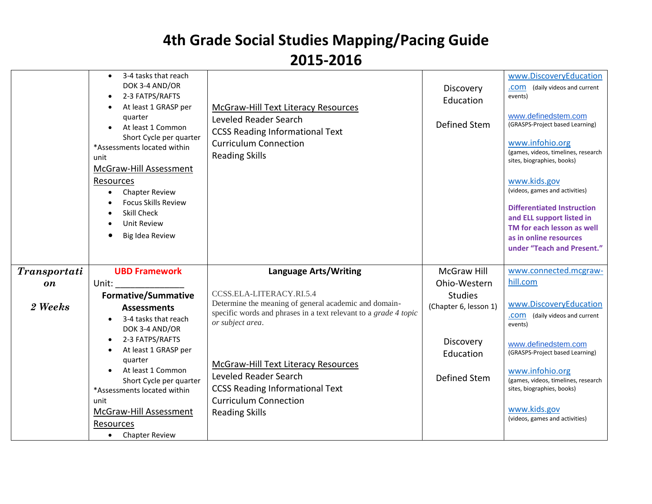|              | 3-4 tasks that reach<br>DOK 3-4 AND/OR<br>2-3 FATPS/RAFTS<br>$\bullet$<br>At least 1 GRASP per<br>quarter<br>At least 1 Common<br>Short Cycle per quarter<br>*Assessments located within<br>unit<br>McGraw-Hill Assessment<br>Resources<br><b>Chapter Review</b><br><b>Focus Skills Review</b><br><b>Skill Check</b><br><b>Unit Review</b><br>Big Idea Review | <b>McGraw-Hill Text Literacy Resources</b><br>Leveled Reader Search<br><b>CCSS Reading Informational Text</b><br><b>Curriculum Connection</b><br><b>Reading Skills</b> | Discovery<br>Education<br>Defined Stem | www.DiscoveryEducation<br>(daily videos and current<br>.com<br>events)<br>www.definedstem.com<br>(GRASPS-Project based Learning)<br>www.infohio.org<br>(games, videos, timelines, research<br>sites, biographies, books)<br>www.kids.gov<br>(videos, games and activities)<br><b>Differentiated Instruction</b><br>and ELL support listed in<br>TM for each lesson as well<br>as in online resources<br>under "Teach and Present." |
|--------------|---------------------------------------------------------------------------------------------------------------------------------------------------------------------------------------------------------------------------------------------------------------------------------------------------------------------------------------------------------------|------------------------------------------------------------------------------------------------------------------------------------------------------------------------|----------------------------------------|------------------------------------------------------------------------------------------------------------------------------------------------------------------------------------------------------------------------------------------------------------------------------------------------------------------------------------------------------------------------------------------------------------------------------------|
| Transportati | <b>UBD Framework</b>                                                                                                                                                                                                                                                                                                                                          | <b>Language Arts/Writing</b>                                                                                                                                           | <b>McGraw Hill</b>                     | www.connected.mcgraw-                                                                                                                                                                                                                                                                                                                                                                                                              |
| on           | Unit:                                                                                                                                                                                                                                                                                                                                                         |                                                                                                                                                                        | Ohio-Western                           | hill.com                                                                                                                                                                                                                                                                                                                                                                                                                           |
|              | <b>Formative/Summative</b>                                                                                                                                                                                                                                                                                                                                    | CCSS.ELA-LITERACY.RI.5.4                                                                                                                                               | <b>Studies</b>                         |                                                                                                                                                                                                                                                                                                                                                                                                                                    |
| 2 Weeks      | <b>Assessments</b>                                                                                                                                                                                                                                                                                                                                            | Determine the meaning of general academic and domain-                                                                                                                  | (Chapter 6, lesson 1)                  | www.DiscoveryEducation                                                                                                                                                                                                                                                                                                                                                                                                             |
|              | 3-4 tasks that reach<br>$\bullet$                                                                                                                                                                                                                                                                                                                             | specific words and phrases in a text relevant to a grade 4 topic                                                                                                       |                                        | .COM (daily videos and current                                                                                                                                                                                                                                                                                                                                                                                                     |
|              | DOK 3-4 AND/OR                                                                                                                                                                                                                                                                                                                                                | or subject area.                                                                                                                                                       |                                        | events)                                                                                                                                                                                                                                                                                                                                                                                                                            |
|              | 2-3 FATPS/RAFTS<br>$\bullet$                                                                                                                                                                                                                                                                                                                                  |                                                                                                                                                                        | Discovery                              | www.definedstem.com                                                                                                                                                                                                                                                                                                                                                                                                                |
|              | At least 1 GRASP per                                                                                                                                                                                                                                                                                                                                          |                                                                                                                                                                        | Education                              | (GRASPS-Project based Learning)                                                                                                                                                                                                                                                                                                                                                                                                    |
|              | quarter                                                                                                                                                                                                                                                                                                                                                       | McGraw-Hill Text Literacy Resources                                                                                                                                    |                                        |                                                                                                                                                                                                                                                                                                                                                                                                                                    |
|              | At least 1 Common<br>Short Cycle per quarter                                                                                                                                                                                                                                                                                                                  | Leveled Reader Search                                                                                                                                                  | Defined Stem                           | www.infohio.org<br>(games, videos, timelines, research                                                                                                                                                                                                                                                                                                                                                                             |
|              | *Assessments located within                                                                                                                                                                                                                                                                                                                                   | <b>CCSS Reading Informational Text</b>                                                                                                                                 |                                        | sites, biographies, books)                                                                                                                                                                                                                                                                                                                                                                                                         |
|              | unit                                                                                                                                                                                                                                                                                                                                                          | <b>Curriculum Connection</b>                                                                                                                                           |                                        |                                                                                                                                                                                                                                                                                                                                                                                                                                    |
|              | McGraw-Hill Assessment                                                                                                                                                                                                                                                                                                                                        | <b>Reading Skills</b>                                                                                                                                                  |                                        | www.kids.gov                                                                                                                                                                                                                                                                                                                                                                                                                       |
|              | Resources                                                                                                                                                                                                                                                                                                                                                     |                                                                                                                                                                        |                                        | (videos, games and activities)                                                                                                                                                                                                                                                                                                                                                                                                     |
|              | <b>Chapter Review</b>                                                                                                                                                                                                                                                                                                                                         |                                                                                                                                                                        |                                        |                                                                                                                                                                                                                                                                                                                                                                                                                                    |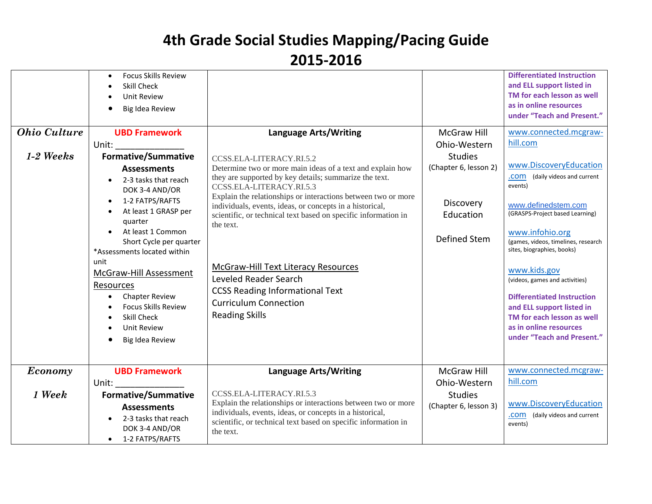| <b>Ohio Culture</b><br>$1-2$ Weeks | <b>Focus Skills Review</b><br>$\bullet$<br>Skill Check<br><b>Unit Review</b><br>Big Idea Review<br><b>UBD Framework</b><br>Unit:<br><b>Formative/Summative</b><br><b>Assessments</b><br>2-3 tasks that reach<br>$\bullet$<br>DOK 3-4 AND/OR<br>1-2 FATPS/RAFTS<br>$\bullet$<br>At least 1 GRASP per<br>quarter<br>At least 1 Common<br>Short Cycle per quarter<br>*Assessments located within<br>unit<br>McGraw-Hill Assessment<br>Resources<br><b>Chapter Review</b><br>$\bullet$<br><b>Focus Skills Review</b><br>Skill Check<br><b>Unit Review</b><br>$\bullet$<br>Big Idea Review | <b>Language Arts/Writing</b><br>CCSS.ELA-LITERACY.RI.5.2<br>Determine two or more main ideas of a text and explain how<br>they are supported by key details; summarize the text.<br>CCSS.ELA-LITERACY.RI.5.3<br>Explain the relationships or interactions between two or more<br>individuals, events, ideas, or concepts in a historical,<br>scientific, or technical text based on specific information in<br>the text.<br><b>McGraw-Hill Text Literacy Resources</b><br>Leveled Reader Search<br><b>CCSS Reading Informational Text</b><br><b>Curriculum Connection</b><br><b>Reading Skills</b> | <b>McGraw Hill</b><br>Ohio-Western<br><b>Studies</b><br>(Chapter 6, lesson 2)<br><b>Discovery</b><br>Education<br>Defined Stem | <b>Differentiated Instruction</b><br>and ELL support listed in<br>TM for each lesson as well<br>as in online resources<br>under "Teach and Present."<br>www.connected.mcgraw-<br>hill.com<br>www.DiscoveryEducation<br>.COM (daily videos and current<br>events)<br>www.definedstem.com<br>(GRASPS-Project based Learning)<br>www.infohio.org<br>(games, videos, timelines, research<br>sites, biographies, books)<br>www.kids.gov<br>(videos, games and activities)<br><b>Differentiated Instruction</b><br>and ELL support listed in<br>TM for each lesson as well<br>as in online resources<br>under "Teach and Present." |
|------------------------------------|---------------------------------------------------------------------------------------------------------------------------------------------------------------------------------------------------------------------------------------------------------------------------------------------------------------------------------------------------------------------------------------------------------------------------------------------------------------------------------------------------------------------------------------------------------------------------------------|----------------------------------------------------------------------------------------------------------------------------------------------------------------------------------------------------------------------------------------------------------------------------------------------------------------------------------------------------------------------------------------------------------------------------------------------------------------------------------------------------------------------------------------------------------------------------------------------------|--------------------------------------------------------------------------------------------------------------------------------|------------------------------------------------------------------------------------------------------------------------------------------------------------------------------------------------------------------------------------------------------------------------------------------------------------------------------------------------------------------------------------------------------------------------------------------------------------------------------------------------------------------------------------------------------------------------------------------------------------------------------|
| Economy                            | <b>UBD Framework</b><br>Unit:                                                                                                                                                                                                                                                                                                                                                                                                                                                                                                                                                         | <b>Language Arts/Writing</b>                                                                                                                                                                                                                                                                                                                                                                                                                                                                                                                                                                       | McGraw Hill<br>Ohio-Western                                                                                                    | www.connected.mcgraw-<br>hill.com                                                                                                                                                                                                                                                                                                                                                                                                                                                                                                                                                                                            |
| 1 Week                             | <b>Formative/Summative</b><br><b>Assessments</b><br>2-3 tasks that reach<br>DOK 3-4 AND/OR<br>1-2 FATPS/RAFTS<br>$\bullet$                                                                                                                                                                                                                                                                                                                                                                                                                                                            | CCSS.ELA-LITERACY.RI.5.3<br>Explain the relationships or interactions between two or more<br>individuals, events, ideas, or concepts in a historical,<br>scientific, or technical text based on specific information in<br>the text.                                                                                                                                                                                                                                                                                                                                                               | <b>Studies</b><br>(Chapter 6, lesson 3)                                                                                        | www.DiscoveryEducation<br>.COM (daily videos and current<br>events)                                                                                                                                                                                                                                                                                                                                                                                                                                                                                                                                                          |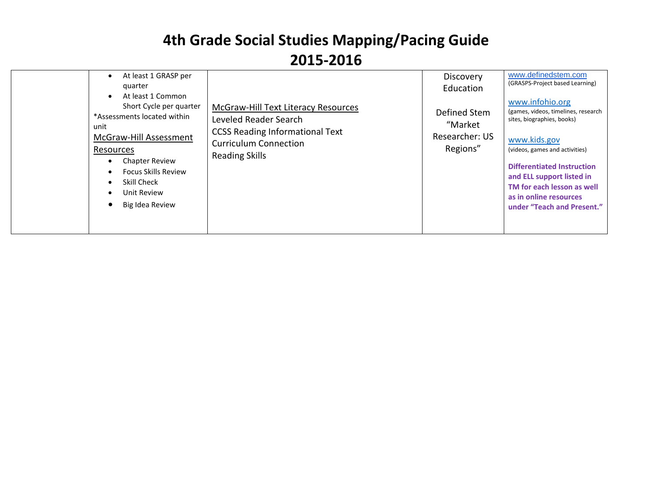| At least 1 GRASP per<br>quarter<br>At least 1 Common<br>$\bullet$<br>Short Cycle per quarter<br>*Assessments located within<br>unit<br>McGraw-Hill Assessment<br>Resources<br><b>Chapter Review</b><br><b>Focus Skills Review</b><br>Skill Check<br>Unit Review<br>Big Idea Review | McGraw-Hill Text Literacy Resources<br>Leveled Reader Search<br><b>CCSS Reading Informational Text</b><br><b>Curriculum Connection</b><br><b>Reading Skills</b> | <b>Discovery</b><br>Education<br>Defined Stem<br>"Market<br>Researcher: US<br>Regions" | www.definedstem.com<br>(GRASPS-Project based Learning)<br>www.infohio.org<br>(games, videos, timelines, research<br>sites, biographies, books)<br>www.kids.gov<br>(videos, games and activities)<br><b>Differentiated Instruction</b><br>and ELL support listed in<br>TM for each lesson as well<br>as in online resources<br>under "Teach and Present." |
|------------------------------------------------------------------------------------------------------------------------------------------------------------------------------------------------------------------------------------------------------------------------------------|-----------------------------------------------------------------------------------------------------------------------------------------------------------------|----------------------------------------------------------------------------------------|----------------------------------------------------------------------------------------------------------------------------------------------------------------------------------------------------------------------------------------------------------------------------------------------------------------------------------------------------------|
|------------------------------------------------------------------------------------------------------------------------------------------------------------------------------------------------------------------------------------------------------------------------------------|-----------------------------------------------------------------------------------------------------------------------------------------------------------------|----------------------------------------------------------------------------------------|----------------------------------------------------------------------------------------------------------------------------------------------------------------------------------------------------------------------------------------------------------------------------------------------------------------------------------------------------------|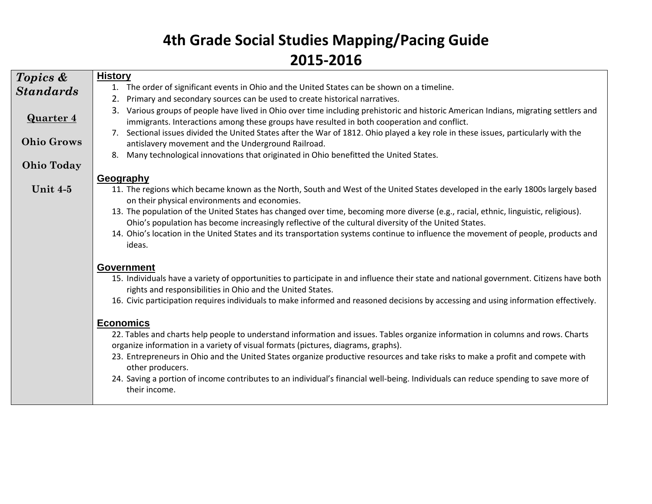| 1. The order of significant events in Ohio and the United States can be shown on a timeline.<br><b>Standards</b><br>Primary and secondary sources can be used to create historical narratives.<br>2.<br>Various groups of people have lived in Ohio over time including prehistoric and historic American Indians, migrating settlers and<br>3.<br><b>Quarter 4</b><br>immigrants. Interactions among these groups have resulted in both cooperation and conflict.<br>7. Sectional issues divided the United States after the War of 1812. Ohio played a key role in these issues, particularly with the<br><b>Ohio Grows</b><br>antislavery movement and the Underground Railroad.<br>Many technological innovations that originated in Ohio benefitted the United States.<br>8.<br><b>Ohio Today</b><br>Geography<br>Unit $4-5$<br>11. The regions which became known as the North, South and West of the United States developed in the early 1800s largely based |  |
|----------------------------------------------------------------------------------------------------------------------------------------------------------------------------------------------------------------------------------------------------------------------------------------------------------------------------------------------------------------------------------------------------------------------------------------------------------------------------------------------------------------------------------------------------------------------------------------------------------------------------------------------------------------------------------------------------------------------------------------------------------------------------------------------------------------------------------------------------------------------------------------------------------------------------------------------------------------------|--|
|                                                                                                                                                                                                                                                                                                                                                                                                                                                                                                                                                                                                                                                                                                                                                                                                                                                                                                                                                                      |  |
|                                                                                                                                                                                                                                                                                                                                                                                                                                                                                                                                                                                                                                                                                                                                                                                                                                                                                                                                                                      |  |
|                                                                                                                                                                                                                                                                                                                                                                                                                                                                                                                                                                                                                                                                                                                                                                                                                                                                                                                                                                      |  |
|                                                                                                                                                                                                                                                                                                                                                                                                                                                                                                                                                                                                                                                                                                                                                                                                                                                                                                                                                                      |  |
|                                                                                                                                                                                                                                                                                                                                                                                                                                                                                                                                                                                                                                                                                                                                                                                                                                                                                                                                                                      |  |
|                                                                                                                                                                                                                                                                                                                                                                                                                                                                                                                                                                                                                                                                                                                                                                                                                                                                                                                                                                      |  |
| on their physical environments and economies.                                                                                                                                                                                                                                                                                                                                                                                                                                                                                                                                                                                                                                                                                                                                                                                                                                                                                                                        |  |
| 13. The population of the United States has changed over time, becoming more diverse (e.g., racial, ethnic, linguistic, religious).<br>Ohio's population has become increasingly reflective of the cultural diversity of the United States.                                                                                                                                                                                                                                                                                                                                                                                                                                                                                                                                                                                                                                                                                                                          |  |
| 14. Ohio's location in the United States and its transportation systems continue to influence the movement of people, products and<br>ideas.                                                                                                                                                                                                                                                                                                                                                                                                                                                                                                                                                                                                                                                                                                                                                                                                                         |  |
| <b>Government</b>                                                                                                                                                                                                                                                                                                                                                                                                                                                                                                                                                                                                                                                                                                                                                                                                                                                                                                                                                    |  |
| 15. Individuals have a variety of opportunities to participate in and influence their state and national government. Citizens have both<br>rights and responsibilities in Ohio and the United States.                                                                                                                                                                                                                                                                                                                                                                                                                                                                                                                                                                                                                                                                                                                                                                |  |
| 16. Civic participation requires individuals to make informed and reasoned decisions by accessing and using information effectively.                                                                                                                                                                                                                                                                                                                                                                                                                                                                                                                                                                                                                                                                                                                                                                                                                                 |  |
| <b>Economics</b>                                                                                                                                                                                                                                                                                                                                                                                                                                                                                                                                                                                                                                                                                                                                                                                                                                                                                                                                                     |  |
| 22. Tables and charts help people to understand information and issues. Tables organize information in columns and rows. Charts<br>organize information in a variety of visual formats (pictures, diagrams, graphs).                                                                                                                                                                                                                                                                                                                                                                                                                                                                                                                                                                                                                                                                                                                                                 |  |
| 23. Entrepreneurs in Ohio and the United States organize productive resources and take risks to make a profit and compete with<br>other producers.                                                                                                                                                                                                                                                                                                                                                                                                                                                                                                                                                                                                                                                                                                                                                                                                                   |  |
| 24. Saving a portion of income contributes to an individual's financial well-being. Individuals can reduce spending to save more of<br>their income.                                                                                                                                                                                                                                                                                                                                                                                                                                                                                                                                                                                                                                                                                                                                                                                                                 |  |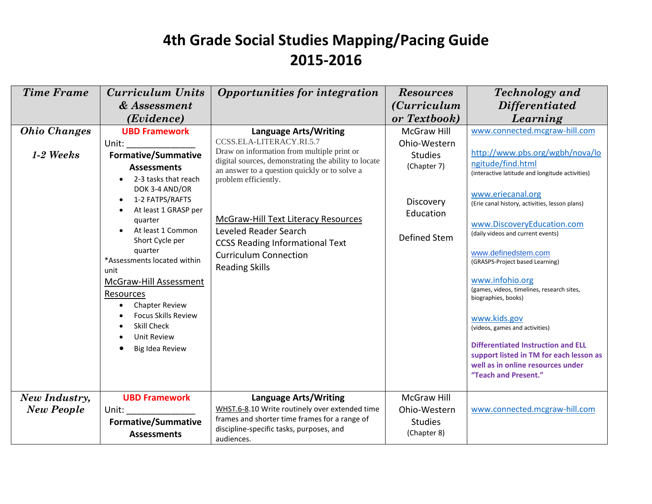| <b>Time Frame</b>                  | <b>Curriculum Units</b>                                                                                                                                                                                                                                                                                                                                                                                          | Opportunities for integration                                                                                                                                                                                                                                                                                                                                              | <b>Resources</b>                                                                        | <b>Technology</b> and                                                                                                                                                                                                                                                                                                                                                                                                                                                                                                                                                                                      |
|------------------------------------|------------------------------------------------------------------------------------------------------------------------------------------------------------------------------------------------------------------------------------------------------------------------------------------------------------------------------------------------------------------------------------------------------------------|----------------------------------------------------------------------------------------------------------------------------------------------------------------------------------------------------------------------------------------------------------------------------------------------------------------------------------------------------------------------------|-----------------------------------------------------------------------------------------|------------------------------------------------------------------------------------------------------------------------------------------------------------------------------------------------------------------------------------------------------------------------------------------------------------------------------------------------------------------------------------------------------------------------------------------------------------------------------------------------------------------------------------------------------------------------------------------------------------|
|                                    | & Assessment                                                                                                                                                                                                                                                                                                                                                                                                     |                                                                                                                                                                                                                                                                                                                                                                            | <i>(Curriculum</i> )                                                                    | <b>Differentiated</b>                                                                                                                                                                                                                                                                                                                                                                                                                                                                                                                                                                                      |
|                                    | (Evidence)                                                                                                                                                                                                                                                                                                                                                                                                       |                                                                                                                                                                                                                                                                                                                                                                            | or Textbook)                                                                            | Learning                                                                                                                                                                                                                                                                                                                                                                                                                                                                                                                                                                                                   |
| <b>Ohio Changes</b>                | <b>UBD Framework</b>                                                                                                                                                                                                                                                                                                                                                                                             | <b>Language Arts/Writing</b>                                                                                                                                                                                                                                                                                                                                               | McGraw Hill                                                                             | www.connected.mcgraw-hill.com                                                                                                                                                                                                                                                                                                                                                                                                                                                                                                                                                                              |
| $1-2$ Weeks                        | Unit:<br><b>Formative/Summative</b><br><b>Assessments</b><br>2-3 tasks that reach<br>DOK 3-4 AND/OR<br>1-2 FATPS/RAFTS<br>At least 1 GRASP per<br>quarter<br>At least 1 Common<br>Short Cycle per<br>quarter<br>*Assessments located within<br>unit<br>McGraw-Hill Assessment<br>Resources<br><b>Chapter Review</b><br><b>Focus Skills Review</b><br><b>Skill Check</b><br><b>Unit Review</b><br>Big Idea Review | CCSS.ELA-LITERACY.RI.5.7<br>Draw on information from multiple print or<br>digital sources, demonstrating the ability to locate<br>an answer to a question quickly or to solve a<br>problem efficiently.<br>McGraw-Hill Text Literacy Resources<br>Leveled Reader Search<br><b>CCSS Reading Informational Text</b><br><b>Curriculum Connection</b><br><b>Reading Skills</b> | Ohio-Western<br><b>Studies</b><br>(Chapter 7)<br>Discovery<br>Education<br>Defined Stem | http://www.pbs.org/wgbh/nova/lo<br>ngitude/find.html<br>(interactive latitude and longitude activities)<br>www.eriecanal.org<br>(Erie canal history, activities, lesson plans)<br>www.DiscoveryEducation.com<br>(daily videos and current events)<br>www.definedstem.com<br>(GRASPS-Project based Learning)<br>www.infohio.org<br>(games, videos, timelines, research sites,<br>biographies, books)<br>www.kids.gov<br>(videos, games and activities)<br><b>Differentiated Instruction and ELL</b><br>support listed in TM for each lesson as<br>well as in online resources under<br>"Teach and Present." |
| New Industry,<br><b>New People</b> | <b>UBD Framework</b><br>Unit: and the state of the state of the state of the state of the state of the state of the state of the state<br><b>Formative/Summative</b>                                                                                                                                                                                                                                             | <b>Language Arts/Writing</b><br>WHST.6-8.10 Write routinely over extended time<br>frames and shorter time frames for a range of                                                                                                                                                                                                                                            | McGraw Hill<br>Ohio-Western<br><b>Studies</b>                                           | www.connected.mcgraw-hill.com                                                                                                                                                                                                                                                                                                                                                                                                                                                                                                                                                                              |
|                                    | <b>Assessments</b>                                                                                                                                                                                                                                                                                                                                                                                               | discipline-specific tasks, purposes, and<br>audiences.                                                                                                                                                                                                                                                                                                                     | (Chapter 8)                                                                             |                                                                                                                                                                                                                                                                                                                                                                                                                                                                                                                                                                                                            |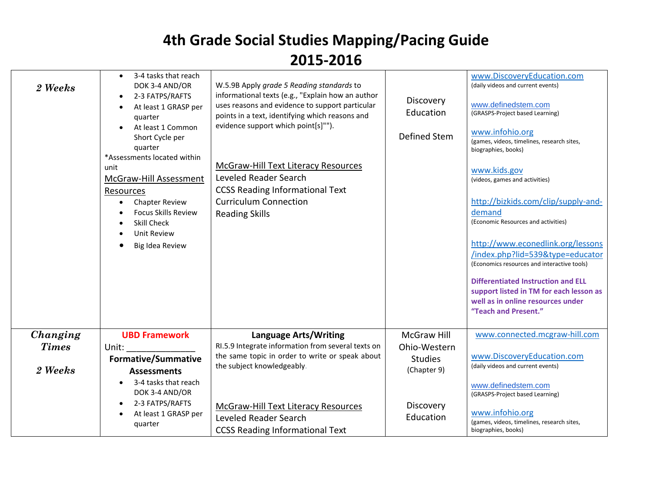| 2 Weeks                             | 3-4 tasks that reach<br>DOK 3-4 AND/OR<br>2-3 FATPS/RAFTS<br>At least 1 GRASP per<br>quarter<br>At least 1 Common<br>Short Cycle per<br>quarter<br>*Assessments located within<br>unit<br>McGraw-Hill Assessment<br>Resources<br><b>Chapter Review</b><br><b>Focus Skills Review</b><br>Skill Check<br><b>Unit Review</b><br>Big Idea Review | W.5.9B Apply grade 5 Reading standards to<br>informational texts (e.g., "Explain how an author<br>uses reasons and evidence to support particular<br>points in a text, identifying which reasons and<br>evidence support which point[s]"").<br><b>McGraw-Hill Text Literacy Resources</b><br>Leveled Reader Search<br><b>CCSS Reading Informational Text</b><br><b>Curriculum Connection</b><br><b>Reading Skills</b> | Discovery<br>Education<br><b>Defined Stem</b>                       | www.DiscoveryEducation.com<br>(daily videos and current events)<br>www.definedstem.com<br>(GRASPS-Project based Learning)<br>www.infohio.org<br>(games, videos, timelines, research sites,<br>biographies, books)<br>www.kids.gov<br>(videos, games and activities)<br>http://bizkids.com/clip/supply-and-<br>demand<br>(Economic Resources and activities)<br>http://www.econedlink.org/lessons<br>/index.php?lid=539&type=educator<br>(Economics resources and interactive tools)<br><b>Differentiated Instruction and ELL</b><br>support listed in TM for each lesson as<br>well as in online resources under<br>"Teach and Present." |
|-------------------------------------|----------------------------------------------------------------------------------------------------------------------------------------------------------------------------------------------------------------------------------------------------------------------------------------------------------------------------------------------|-----------------------------------------------------------------------------------------------------------------------------------------------------------------------------------------------------------------------------------------------------------------------------------------------------------------------------------------------------------------------------------------------------------------------|---------------------------------------------------------------------|------------------------------------------------------------------------------------------------------------------------------------------------------------------------------------------------------------------------------------------------------------------------------------------------------------------------------------------------------------------------------------------------------------------------------------------------------------------------------------------------------------------------------------------------------------------------------------------------------------------------------------------|
| Changing<br><b>Times</b><br>2 Weeks | <b>UBD Framework</b><br>Unit:<br><b>Formative/Summative</b><br><b>Assessments</b><br>3-4 tasks that reach<br>DOK 3-4 AND/OR                                                                                                                                                                                                                  | <b>Language Arts/Writing</b><br>RI.5.9 Integrate information from several texts on<br>the same topic in order to write or speak about<br>the subject knowledgeably.                                                                                                                                                                                                                                                   | <b>McGraw Hill</b><br>Ohio-Western<br><b>Studies</b><br>(Chapter 9) | www.connected.mcgraw-hill.com<br>www.DiscoveryEducation.com<br>(daily videos and current events)<br>www.definedstem.com<br>(GRASPS-Project based Learning)                                                                                                                                                                                                                                                                                                                                                                                                                                                                               |
|                                     | 2-3 FATPS/RAFTS<br>At least 1 GRASP per<br>quarter                                                                                                                                                                                                                                                                                           | McGraw-Hill Text Literacy Resources<br>Leveled Reader Search<br><b>CCSS Reading Informational Text</b>                                                                                                                                                                                                                                                                                                                | Discovery<br>Education                                              | www.infohio.org<br>(games, videos, timelines, research sites,<br>biographies, books)                                                                                                                                                                                                                                                                                                                                                                                                                                                                                                                                                     |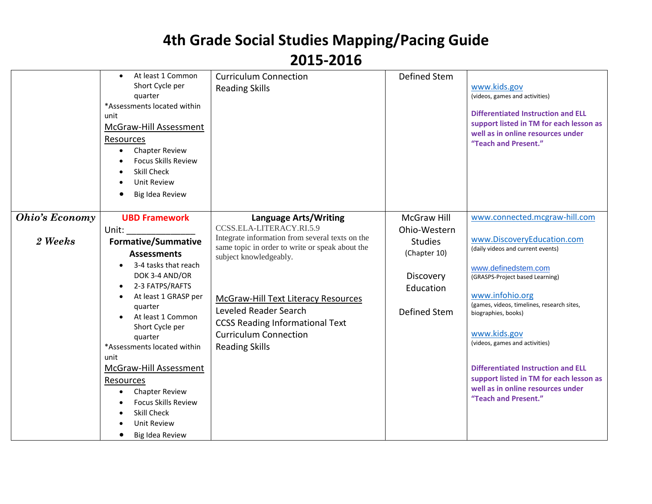|                                  | At least 1 Common<br>Short Cycle per<br>quarter<br>*Assessments located within<br>unit<br>McGraw-Hill Assessment<br>Resources<br><b>Chapter Review</b><br><b>Focus Skills Review</b><br><b>Skill Check</b><br><b>Unit Review</b><br>Big Idea Review                                                                                                                                                                               | <b>Curriculum Connection</b><br><b>Reading Skills</b>                                                                                                                                                                                                                                                                                                       | <b>Defined Stem</b>                                                                                                   | www.kids.gov<br>(videos, games and activities)<br><b>Differentiated Instruction and ELL</b><br>support listed in TM for each lesson as<br>well as in online resources under<br>"Teach and Present."                                                                                                                                                                                                                                                       |
|----------------------------------|-----------------------------------------------------------------------------------------------------------------------------------------------------------------------------------------------------------------------------------------------------------------------------------------------------------------------------------------------------------------------------------------------------------------------------------|-------------------------------------------------------------------------------------------------------------------------------------------------------------------------------------------------------------------------------------------------------------------------------------------------------------------------------------------------------------|-----------------------------------------------------------------------------------------------------------------------|-----------------------------------------------------------------------------------------------------------------------------------------------------------------------------------------------------------------------------------------------------------------------------------------------------------------------------------------------------------------------------------------------------------------------------------------------------------|
| <b>Ohio's Economy</b><br>2 Weeks | <b>UBD Framework</b><br>Unit:<br><b>Formative/Summative</b><br><b>Assessments</b><br>3-4 tasks that reach<br>DOK 3-4 AND/OR<br>2-3 FATPS/RAFTS<br>At least 1 GRASP per<br>quarter<br>At least 1 Common<br>Short Cycle per<br>quarter<br>*Assessments located within<br>unit<br>McGraw-Hill Assessment<br>Resources<br><b>Chapter Review</b><br><b>Focus Skills Review</b><br><b>Skill Check</b><br>Unit Review<br>Big Idea Review | <b>Language Arts/Writing</b><br>CCSS.ELA-LITERACY.RI.5.9<br>Integrate information from several texts on the<br>same topic in order to write or speak about the<br>subject knowledgeably.<br>McGraw-Hill Text Literacy Resources<br>Leveled Reader Search<br><b>CCSS Reading Informational Text</b><br><b>Curriculum Connection</b><br><b>Reading Skills</b> | <b>McGraw Hill</b><br>Ohio-Western<br><b>Studies</b><br>(Chapter 10)<br>Discovery<br>Education<br><b>Defined Stem</b> | www.connected.mcgraw-hill.com<br>www.DiscoveryEducation.com<br>(daily videos and current events)<br>www.definedstem.com<br>(GRASPS-Project based Learning)<br>www.infohio.org<br>(games, videos, timelines, research sites,<br>biographies, books)<br>www.kids.gov<br>(videos, games and activities)<br><b>Differentiated Instruction and ELL</b><br>support listed in TM for each lesson as<br>well as in online resources under<br>"Teach and Present." |